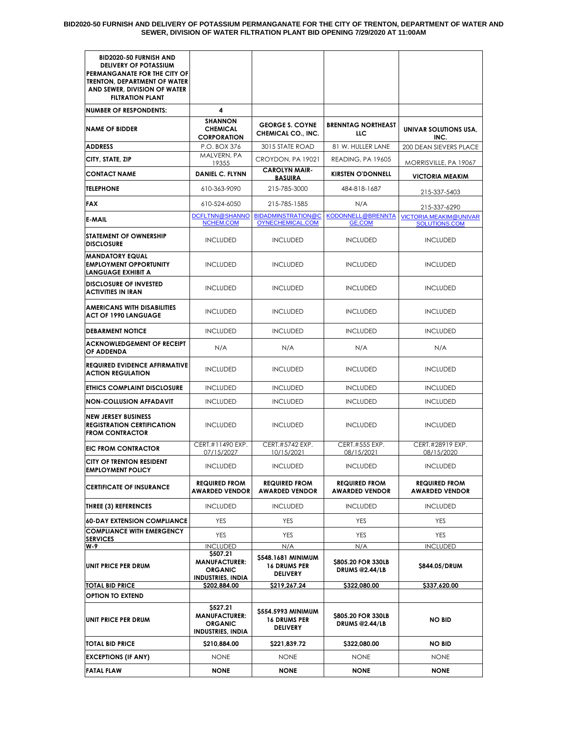| <b>BID2020-50 FURNISH AND</b><br><b>DELIVERY OF POTASSIUM</b><br>PERMANGANATE FOR THE CITY OF<br>TRENTON, DEPARTMENT OF WATER<br>AND SEWER, DIVISION OF WATER<br><b>FILTRATION PLANT</b> |                                                                                |                                                              |                                               |                                               |
|------------------------------------------------------------------------------------------------------------------------------------------------------------------------------------------|--------------------------------------------------------------------------------|--------------------------------------------------------------|-----------------------------------------------|-----------------------------------------------|
| <b>NUMBER OF RESPONDENTS:</b>                                                                                                                                                            | 4                                                                              |                                                              |                                               |                                               |
| <b>NAME OF BIDDER</b>                                                                                                                                                                    | SHANNON<br><b>CHEMICAL</b><br><b>CORPORATION</b>                               | <b>GEORGE S. COYNE</b><br>CHEMICAL CO., INC.                 | <b>BRENNTAG NORTHEAST</b><br>LLC.             | UNIVAR SOLUTIONS USA,<br>INC.                 |
| <b>ADDRESS</b>                                                                                                                                                                           | P.O. BOX 376                                                                   | 3015 STATE ROAD                                              | 81 W. HULLER LANE                             | 200 DEAN SIEVERS PLACE                        |
| CITY, STATE, ZIP                                                                                                                                                                         | MALVERN, PA<br>19355                                                           | CROYDON, PA 19021                                            | READING, PA 19605                             | MORRISVILLE, PA 19067                         |
| <b>CONTACT NAME</b>                                                                                                                                                                      | <b>DANIEL C. FLYNN</b>                                                         | <b>CAROLYN MAIR-</b><br><b>BASUIRA</b>                       | <b>KIRSTEN O'DONNELL</b>                      | <b>VICTORIA MEAKIM</b>                        |
| <b>TELEPHONE</b>                                                                                                                                                                         | 610-363-9090                                                                   | 215-785-3000                                                 | 484-818-1687                                  | 215-337-5403                                  |
| <b>FAX</b>                                                                                                                                                                               | 610-524-6050                                                                   | 215-785-1585                                                 | N/A                                           | 215-337-6290                                  |
| <b>E-MAIL</b>                                                                                                                                                                            | DCFLTNN@SHANNO<br>NCHEM.COM                                                    | <b>BIDADMINSTRATION@C</b><br>OYNECHEMICAL.COM                | KODONNELL@BRENNTA<br><b>GE.COM</b>            | VICTORIA.MEAKIM@UNIVAR<br>SOLUTIONS.COM       |
| <b>STATEMENT OF OWNERSHIP</b><br><b>DISCLOSURE</b>                                                                                                                                       | <b>INCLUDED</b>                                                                | <b>INCLUDED</b>                                              | <b>INCLUDED</b>                               | <b>INCLUDED</b>                               |
| <b>MANDATORY EQUAL</b><br><b>EMPLOYMENT OPPORTUNITY</b><br><b>LANGUAGE EXHIBIT A</b>                                                                                                     | <b>INCLUDED</b>                                                                | <b>INCLUDED</b>                                              | <b>INCLUDED</b>                               | <b>INCLUDED</b>                               |
| <b>DISCLOSURE OF INVESTED</b><br><b>ACTIVITIES IN IRAN</b>                                                                                                                               | <b>INCLUDED</b>                                                                | <b>INCLUDED</b>                                              | <b>INCLUDED</b>                               | <b>INCLUDED</b>                               |
| <b>AMERICANS WITH DISABILITIES</b><br><b>ACT OF 1990 LANGUAGE</b>                                                                                                                        | <b>INCLUDED</b>                                                                | <b>INCLUDED</b>                                              | <b>INCLUDED</b>                               | <b>INCLUDED</b>                               |
| <b>DEBARMENT NOTICE</b>                                                                                                                                                                  | <b>INCLUDED</b>                                                                | <b>INCLUDED</b>                                              | <b>INCLUDED</b>                               | <b>INCLUDED</b>                               |
| <b>ACKNOWLEDGEMENT OF RECEIPT</b><br>OF ADDENDA                                                                                                                                          | N/A                                                                            | N/A                                                          | N/A                                           | N/A                                           |
| <b>REQUIRED EVIDENCE AFFIRMATIVE</b><br><b>ACTION REGULATION</b>                                                                                                                         | <b>INCLUDED</b>                                                                | <b>INCLUDED</b>                                              | <b>INCLUDED</b>                               | <b>INCLUDED</b>                               |
| <b>ETHICS COMPLAINT DISCLOSURE</b>                                                                                                                                                       | <b>INCLUDED</b>                                                                | <b>INCLUDED</b>                                              | <b>INCLUDED</b>                               | <b>INCLUDED</b>                               |
| <b>NON-COLLUSION AFFADAVIT</b>                                                                                                                                                           | <b>INCLUDED</b>                                                                | <b>INCLUDED</b>                                              | <b>INCLUDED</b>                               | <b>INCLUDED</b>                               |
| <b>NEW JERSEY BUSINESS</b><br><b>REGISTRATION CERTIFICATION</b><br><b>FROM CONTRACTOR</b>                                                                                                | <b>INCLUDED</b>                                                                | <b>INCLUDED</b>                                              | <b>INCLUDED</b>                               | <b>INCLUDED</b>                               |
| <b>EIC FROM CONTRACTOR</b>                                                                                                                                                               | CERT.#11490 EXP.<br>07/15/2027                                                 | CERT.#5742 EXP.<br>10/15/2021                                | CERT.#555 EXP.<br>08/15/2021                  | CERT.#28919 EXP.<br>08/15/2020                |
| CITY OF TRENTON RESIDENT<br><b>EMPLOYMENT POLICY</b>                                                                                                                                     | <b>INCLUDED</b>                                                                | <b>INCLUDED</b>                                              | <b>INCLUDED</b>                               | <b>INCLUDED</b>                               |
| <b>CERTIFICATE OF INSURANCE</b>                                                                                                                                                          | <b>REQUIRED FROM</b><br><b>AWARDED VENDOR</b>                                  | <b>REQUIRED FROM</b><br><b>AWARDED VENDOR</b>                | <b>REQUIRED FROM</b><br><b>AWARDED VENDOR</b> | <b>REQUIRED FROM</b><br><b>AWARDED VENDOR</b> |
| <b>THREE (3) REFERENCES</b>                                                                                                                                                              | <b>INCLUDED</b>                                                                | <b>INCLUDED</b>                                              | <b>INCLUDED</b>                               | <b>INCLUDED</b>                               |
| <b>60-DAY EXTENSION COMPLIANCE</b>                                                                                                                                                       | <b>YES</b>                                                                     | <b>YES</b>                                                   | YES                                           | YES                                           |
| <b>COMPLIANCE WITH EMERGENCY</b><br><b>SERVICES</b>                                                                                                                                      | YES                                                                            | <b>YES</b>                                                   | YES                                           | YES                                           |
| W-9                                                                                                                                                                                      | <b>INCLUDED</b>                                                                | N/A                                                          | N/A                                           | <b>INCLUDED</b>                               |
| UNIT PRICE PER DRUM                                                                                                                                                                      | \$507.21<br><b>MANUFACTURER:</b><br><b>ORGANIC</b><br><b>INDUSTRIES, INDIA</b> | \$548.1681 MINIMUM<br><b>16 DRUMS PER</b><br><b>DELIVERY</b> | \$805.20 FOR 330LB<br><b>DRUMS @2.44/LB</b>   | \$844.05/DRUM                                 |
| <b>TOTAL BID PRICE</b>                                                                                                                                                                   | <u>\$202,884.00</u>                                                            | \$219,267.24                                                 | \$322,080.00                                  | \$337,620.00                                  |
| <b>OPTION TO EXTEND</b>                                                                                                                                                                  |                                                                                |                                                              |                                               |                                               |
| UNIT PRICE PER DRUM                                                                                                                                                                      | \$527.21<br><b>MANUFACTURER:</b><br><b>ORGANIC</b><br><b>INDUSTRIES, INDIA</b> | \$554.5993 MINIMUM<br><b>16 DRUMS PER</b><br><b>DELIVERY</b> | \$805.20 FOR 330LB<br><b>DRUMS @2.44/LB</b>   | <b>NO BID</b>                                 |
| <b>TOTAL BID PRICE</b>                                                                                                                                                                   | \$210,884.00                                                                   | \$221,839.72                                                 | \$322,080.00                                  | NO BID                                        |
| <b>EXCEPTIONS (IF ANY)</b>                                                                                                                                                               | <b>NONE</b>                                                                    | <b>NONE</b>                                                  | NONE                                          | <b>NONE</b>                                   |
| <b>FATAL FLAW</b>                                                                                                                                                                        | NONE                                                                           | <b>NONE</b>                                                  | <b>NONE</b>                                   | <b>NONE</b>                                   |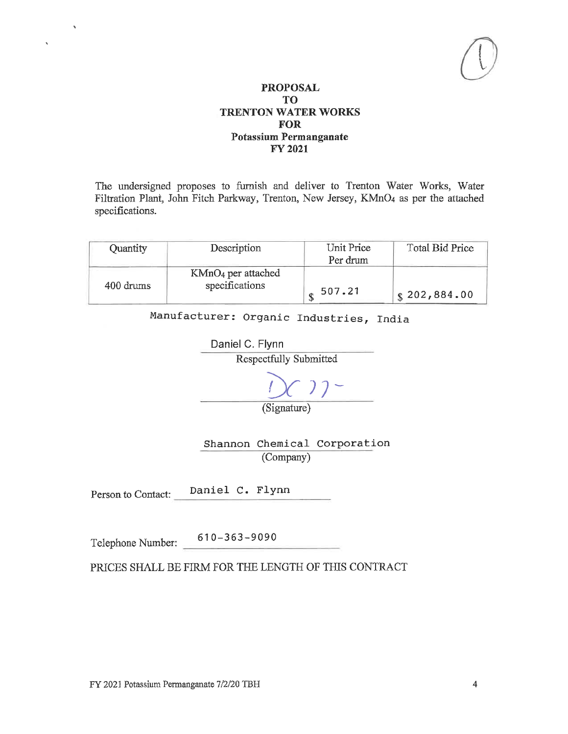The undersigned proposes to furnish and deliver to Trenton Water Works, Water Filtration Plant, John Fitch Parkway, Trenton, New Jersey, KMnO4 as per the attached specifications.

| Quantity  | Description          | Unit Price | <b>Total Bid Price</b> |
|-----------|----------------------|------------|------------------------|
|           |                      | Per drum   |                        |
|           | $KMnO4$ per attached |            |                        |
| 400 drums | specifications       | 507.21     | \$202,884.00           |

Manufacturer: Organic Industries, India

Daniel C. Flynn Respectfully Submitted  $22 -$ 

(Signature)

Shannon Chemical Corporation (Company)

Daniel C. Flynn Person to Contact:

Telephone Number:  $610-363-9090$ 

k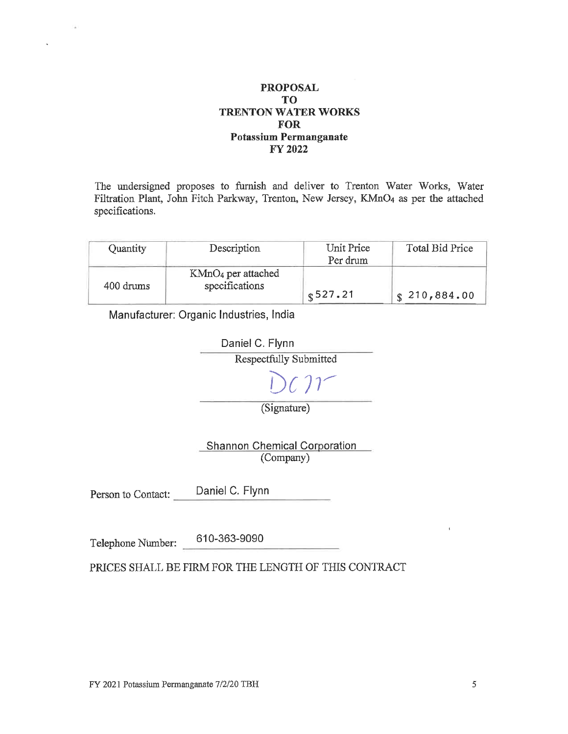The undersigned proposes to furnish and deliver to Trenton Water Works, Water Filtration Plant, John Fitch Parkway, Trenton, New Jersey, KMnO4 as per the attached specifications.

| Quantity  | Description                                      | Unit Price<br>Per drum | Total Bid Price          |
|-----------|--------------------------------------------------|------------------------|--------------------------|
| 400 drums | KMnO <sub>4</sub> per attached<br>specifications | 8527.21                | $\frac{1}{3}$ 210,884.00 |

Manufacturer: Organic Industries, India



**Shannon Chemical Corporation** (Company)

Daniel C. Flynn Person to Contact:

610-363-9090 Telephone Number: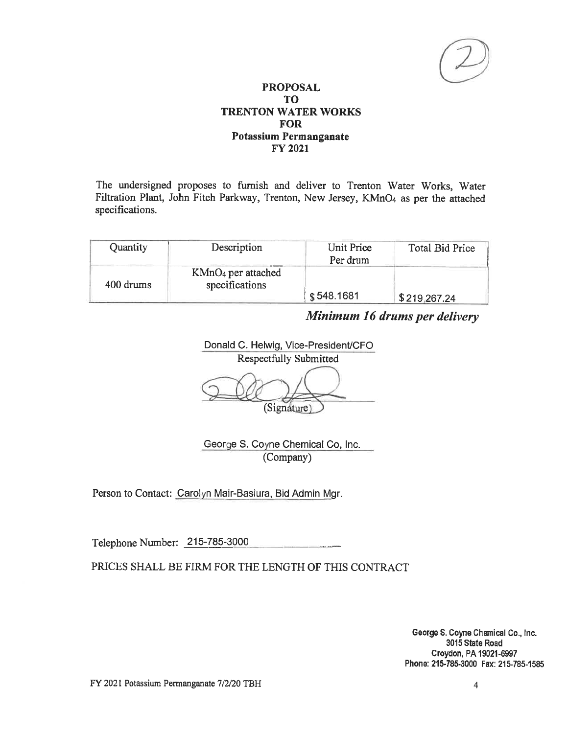The undersigned proposes to furnish and deliver to Trenton Water Works, Water Filtration Plant, John Fitch Parkway, Trenton, New Jersey, KMnO4 as per the attached specifications.

| Quantity  | Description                            | Unit Price<br>Per drum | Total Bid Price |
|-----------|----------------------------------------|------------------------|-----------------|
| 400 drums | $KMnO4$ per attached<br>specifications |                        |                 |
|           |                                        | \$548.1681             | \$219,267.24    |

# Minimum 16 drums per delivery

Donald C. Helwig, Vice-President/CFO **Respectfully Submitted** (Signature)

George S. Coyne Chemical Co, Inc. (Company)

Person to Contact: Carolyn Mair-Basiura, Bid Admin Mgr.

Telephone Number: 215-785-3000

PRICES SHALL BE FIRM FOR THE LENGTH OF THIS CONTRACT

George S. Coyne Chemical Co., Inc. 3015 State Road Croydon, PA 19021-6997 Phone: 215-785-3000 Fax: 215-785-1585

FY 2021 Potassium Permanganate 7/2/20 TBH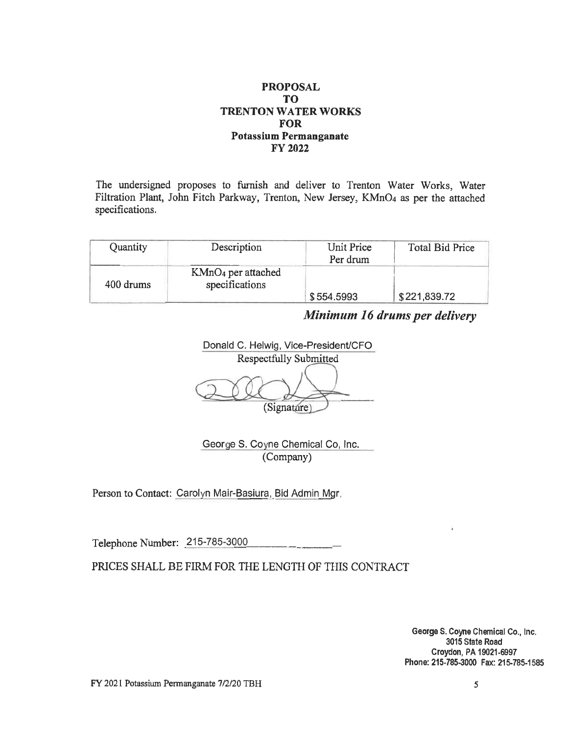The undersigned proposes to furnish and deliver to Trenton Water Works, Water Filtration Plant, John Fitch Parkway, Trenton, New Jersey, KMnO4 as per the attached specifications.

| Quantity  | Description                            | Unit Price | <b>Total Bid Price</b> |
|-----------|----------------------------------------|------------|------------------------|
|           |                                        | Per drum   |                        |
| 400 drums | $KMnO4$ per attached<br>specifications |            |                        |
|           |                                        | \$554,5993 | \$221,839.72           |

Minimum 16 drums per delivery

Donald C. Helwig, Vice-President/CFO **Respectfully Submitted** (Signature)

George S. Coyne Chemical Co, Inc. (Company)

Person to Contact: Carolyn Mair-Basiura, Bid Admin Mgr.

Telephone Number: 215-785-3000

PRICES SHALL BE FIRM FOR THE LENGTH OF THIS CONTRACT

George S. Coyne Chemical Co., Inc. 3015 State Road Croydon, PA 19021-6997 Phone: 215-785-3000 Fax: 215-785-1585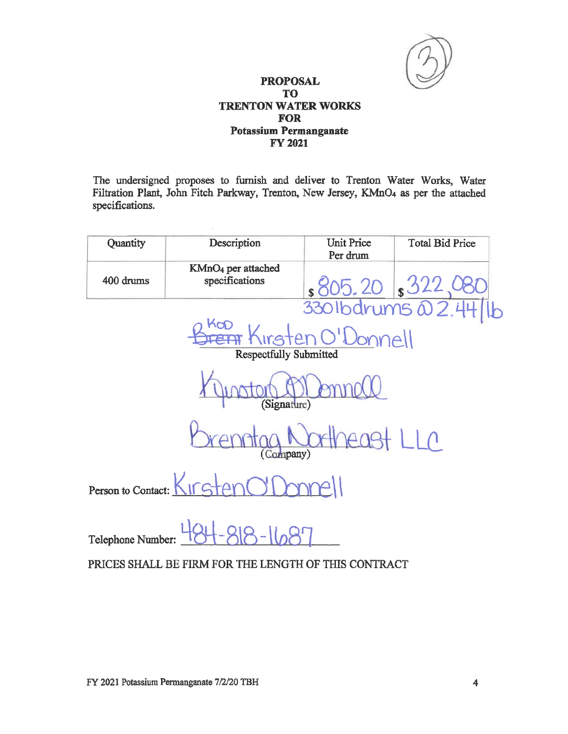

The undersigned proposes to furnish and deliver to Trenton Water Works, Water Filtration Plant, John Fitch Parkway, Trenton, New Jersey, KMnO<sub>4</sub> as per the attached specifications.

| Quantity                   | Description                                                                 | Unit Price<br>Per drum | <b>Total Bid Price</b>                      |  |
|----------------------------|-----------------------------------------------------------------------------|------------------------|---------------------------------------------|--|
| 400 drums                  | KMnO <sub>4</sub> per attached<br>specifications                            |                        | $s805.20$ $s322.080$<br>3301bdrums 22.44/1b |  |
|                            | kop<br><del>Frenir</del> Kirsten O'Donnell<br><b>Respectfully Submitted</b> |                        |                                             |  |
| (Signature)                |                                                                             |                        |                                             |  |
| $LL^{\alpha}$<br>(Company) |                                                                             |                        |                                             |  |
| Person to Contact:         | KirgtanNr                                                                   |                        |                                             |  |
| Telephone Number:          |                                                                             |                        |                                             |  |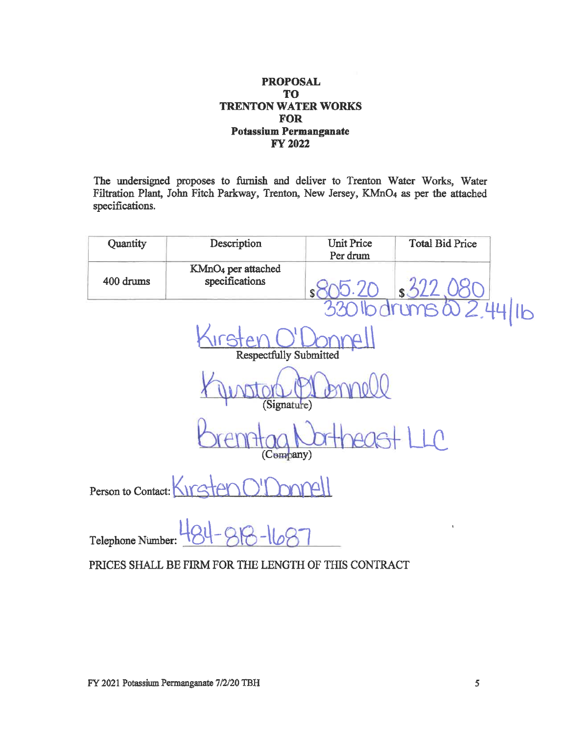The undersigned proposes to furnish and deliver to Trenton Water Works, Water Filtration Plant, John Fitch Parkway, Trenton, New Jersey, KMnO4 as per the attached specifications.

| Quantity                       | Description                                      | <b>Unit Price</b><br>Per drum | <b>Total Bid Price</b> |  |  |
|--------------------------------|--------------------------------------------------|-------------------------------|------------------------|--|--|
| 400 drums                      | KMnO <sub>4</sub> per attached<br>specifications | $\mathbb{S}$                  | \$                     |  |  |
|                                |                                                  |                               | $\overline{1}$<br>Y    |  |  |
|                                | <b>Respectfully Submitted</b>                    |                               |                        |  |  |
| (Signature)                    |                                                  |                               |                        |  |  |
| $\lfloor \bigcap$<br>(Company) |                                                  |                               |                        |  |  |
| Person to Contact:             |                                                  |                               |                        |  |  |
| Telephone Number:              |                                                  |                               | $\mathbf{1}$           |  |  |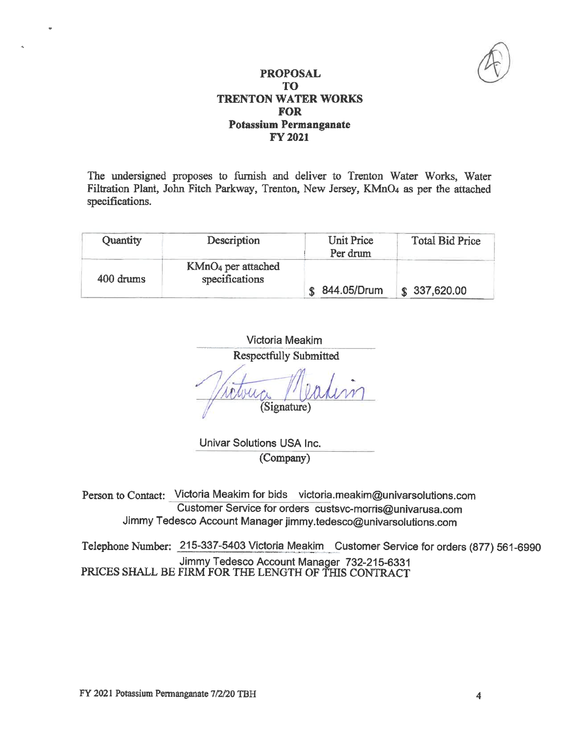

The undersigned proposes to furnish and deliver to Trenton Water Works, Water Filtration Plant, John Fitch Parkway, Trenton, New Jersey, KMnO<sub>4</sub> as per the attached specifications.

| Quantity  | Description                                      | Unit Price<br>Per drum | <b>Total Bid Price</b> |
|-----------|--------------------------------------------------|------------------------|------------------------|
| 400 drums | KMnO <sub>4</sub> per attached<br>specifications |                        |                        |
|           |                                                  | 844.05/Drum            | \$337,620.00           |

**Victoria Meakim Respectfully Submitted** (Signature)

Univar Solutions USA Inc. (Company)

Person to Contact: Victoria Meakim for bids victoria.meakim@univarsolutions.com Customer Service for orders custsvc-morris@univarusa.com Jimmy Tedesco Account Manager jimmy.tedesco@univarsolutions.com

Telephone Number: 215-337-5403 Victoria Meakim Customer Service for orders (877) 561-6990 Jimmy Tedesco Account Manager 732-215-6331<br>PRICES SHALL BE FIRM FOR THE LENGTH OF THIS CONTRACT